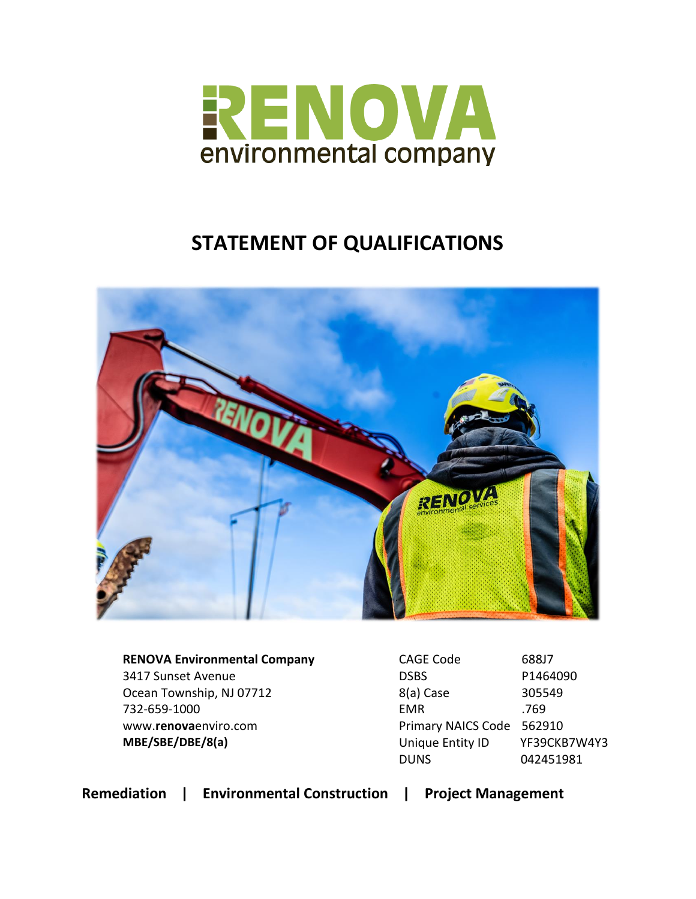

# **STATEMENT OF QUALIFICATIONS**



**RENOVA Environmental Company** 3417 Sunset Avenue Ocean Township, NJ 07712 732-659-1000 www.**renova**enviro.com **MBE/SBE/DBE/8(a)**

CAGE Code 688J7 DSBS P1464090 8(a) Case 305549 EMR .769 Primary NAICS Code 562910 Unique Entity ID YF39CKB7W4Y3 DUNS 042451981

**Remediation | Environmental Construction | Project Management**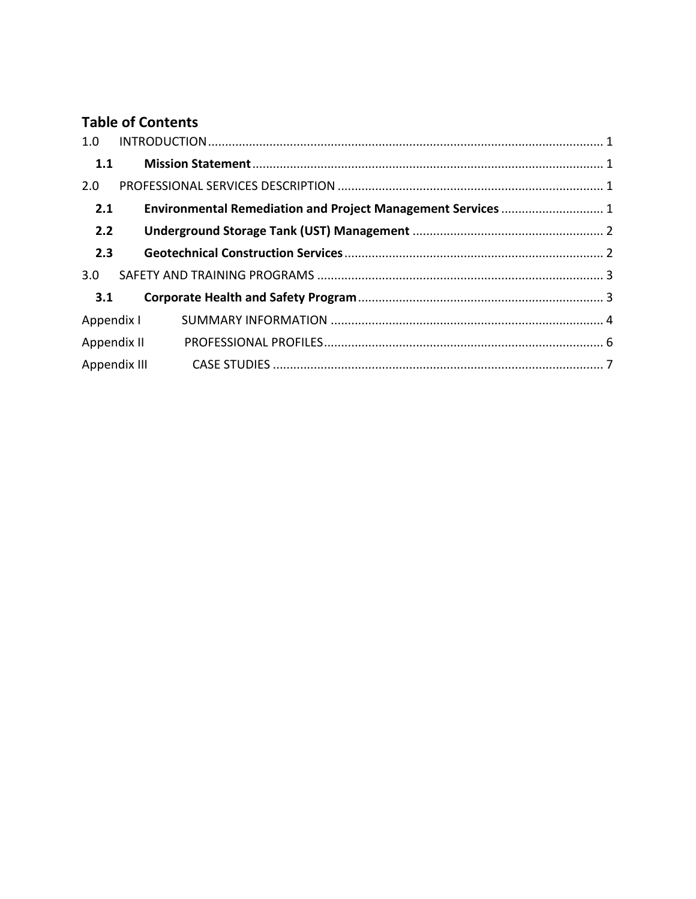# **Table of Contents**

| 1.0          |  |
|--------------|--|
| 1.1          |  |
| 2.0          |  |
| 2.1          |  |
| 2.2          |  |
| 2.3          |  |
| 3.0          |  |
| 3.1          |  |
| Appendix I   |  |
| Appendix II  |  |
| Appendix III |  |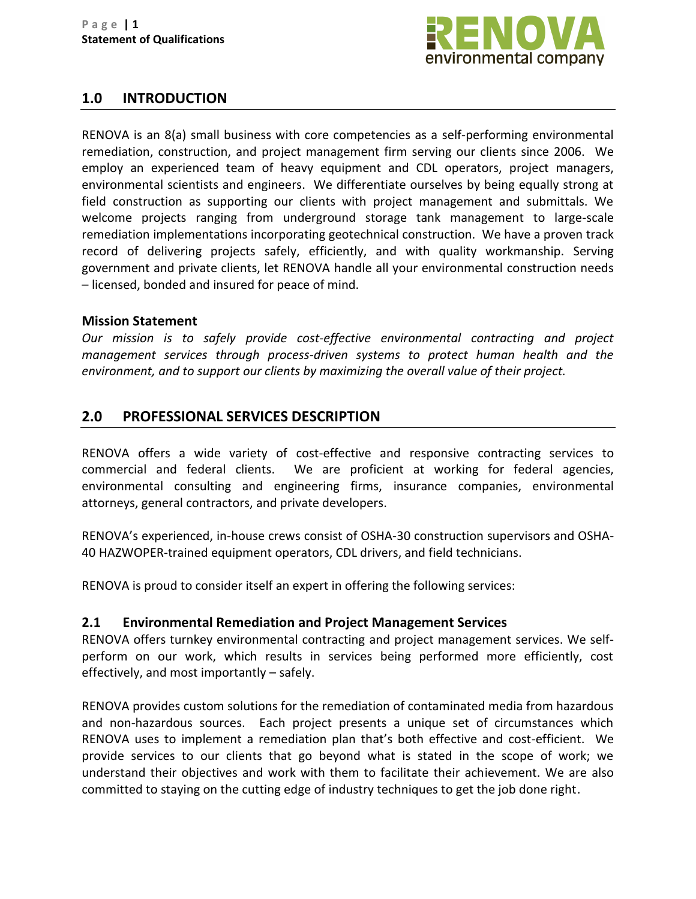

# <span id="page-2-0"></span>**1.0 INTRODUCTION**

RENOVA is an 8(a) small business with core competencies as a self-performing environmental remediation, construction, and project management firm serving our clients since 2006. We employ an experienced team of heavy equipment and CDL operators, project managers, environmental scientists and engineers. We differentiate ourselves by being equally strong at field construction as supporting our clients with project management and submittals. We welcome projects ranging from underground storage tank management to large-scale remediation implementations incorporating geotechnical construction. We have a proven track record of delivering projects safely, efficiently, and with quality workmanship. Serving government and private clients, let RENOVA handle all your environmental construction needs – licensed, bonded and insured for peace of mind.

#### <span id="page-2-1"></span>**Mission Statement**

*Our mission is to safely provide cost-effective environmental contracting and project management services through process-driven systems to protect human health and the environment, and to support our clients by maximizing the overall value of their project.*

# <span id="page-2-2"></span>**2.0 PROFESSIONAL SERVICES DESCRIPTION**

RENOVA offers a wide variety of cost-effective and responsive contracting services to commercial and federal clients. We are proficient at working for federal agencies, environmental consulting and engineering firms, insurance companies, environmental attorneys, general contractors, and private developers.

RENOVA's experienced, in-house crews consist of OSHA-30 construction supervisors and OSHA-40 HAZWOPER-trained equipment operators, CDL drivers, and field technicians.

RENOVA is proud to consider itself an expert in offering the following services:

## <span id="page-2-3"></span>**2.1 Environmental Remediation and Project Management Services**

RENOVA offers turnkey environmental contracting and project management services. We selfperform on our work, which results in services being performed more efficiently, cost effectively, and most importantly – safely.

RENOVA provides custom solutions for the remediation of contaminated media from hazardous and non-hazardous sources. Each project presents a unique set of circumstances which RENOVA uses to implement a remediation plan that's both effective and cost-efficient. We provide services to our clients that go beyond what is stated in the scope of work; we understand their objectives and work with them to facilitate their achievement. We are also committed to staying on the cutting edge of industry techniques to get the job done right.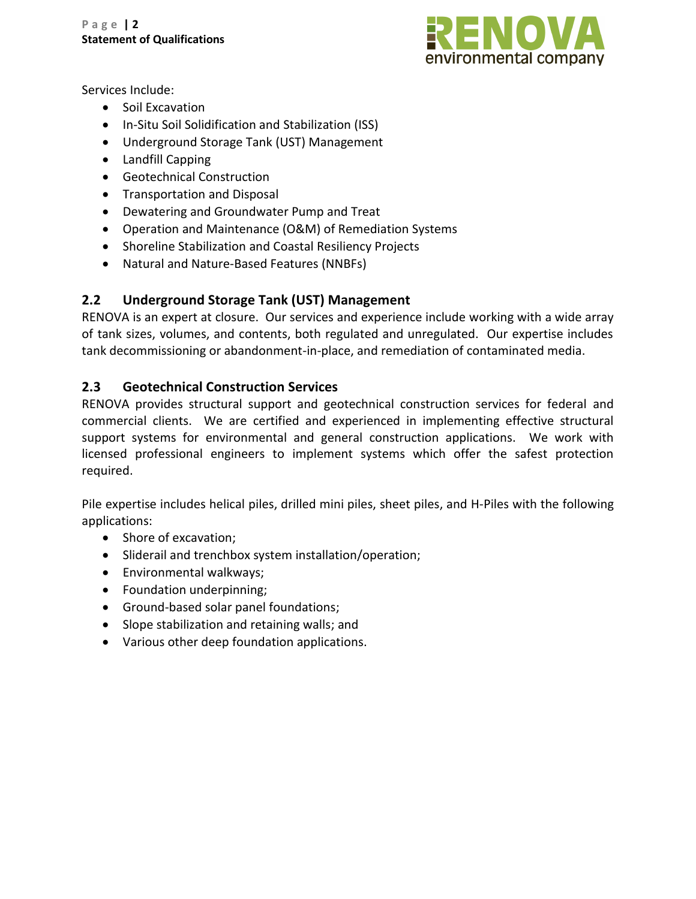

Services Include:

- Soil Excavation
- In-Situ Soil Solidification and Stabilization (ISS)
- Underground Storage Tank (UST) Management
- Landfill Capping
- Geotechnical Construction
- Transportation and Disposal
- Dewatering and Groundwater Pump and Treat
- Operation and Maintenance (O&M) of Remediation Systems
- Shoreline Stabilization and Coastal Resiliency Projects
- Natural and Nature-Based Features (NNBFs)

# <span id="page-3-0"></span>**2.2 Underground Storage Tank (UST) Management**

RENOVA is an expert at closure. Our services and experience include working with a wide array of tank sizes, volumes, and contents, both regulated and unregulated. Our expertise includes tank decommissioning or abandonment-in-place, and remediation of contaminated media.

## <span id="page-3-1"></span>**2.3 Geotechnical Construction Services**

RENOVA provides structural support and geotechnical construction services for federal and commercial clients. We are certified and experienced in implementing effective structural support systems for environmental and general construction applications. We work with licensed professional engineers to implement systems which offer the safest protection required.

Pile expertise includes helical piles, drilled mini piles, sheet piles, and H-Piles with the following applications:

- Shore of excavation;
- Sliderail and trenchbox system installation/operation;
- Environmental walkways;
- Foundation underpinning;
- Ground-based solar panel foundations;
- Slope stabilization and retaining walls; and
- Various other deep foundation applications.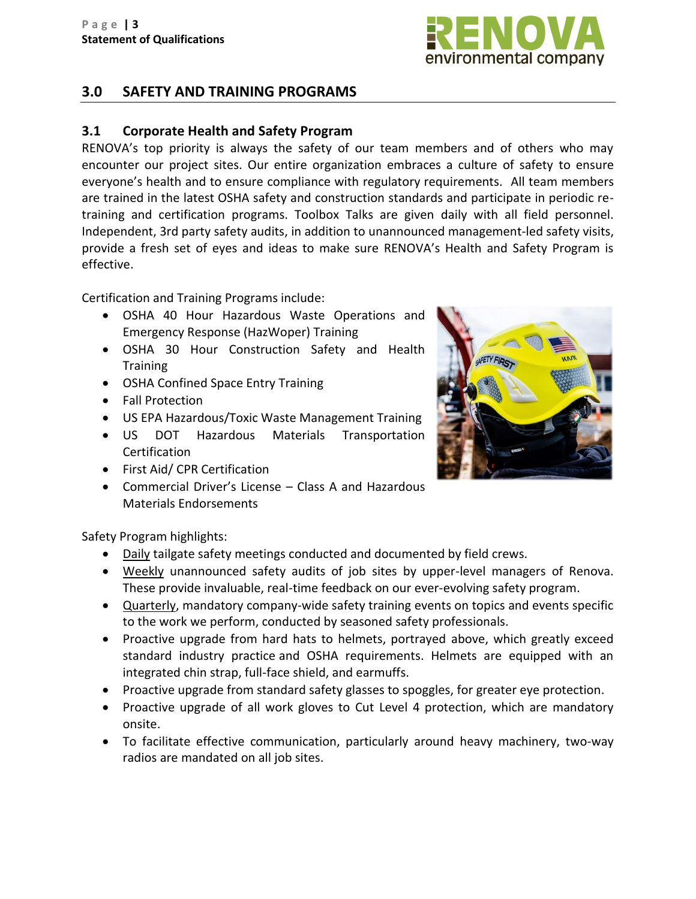

# <span id="page-4-0"></span>**3.0 SAFETY AND TRAINING PROGRAMS**

## <span id="page-4-1"></span>**3.1 Corporate Health and Safety Program**

RENOVA's top priority is always the safety of our team members and of others who may encounter our project sites. Our entire organization embraces a culture of safety to ensure everyone's health and to ensure compliance with regulatory requirements. All team members are trained in the latest OSHA safety and construction standards and participate in periodic retraining and certification programs. Toolbox Talks are given daily with all field personnel. Independent, 3rd party safety audits, in addition to unannounced management-led safety visits, provide a fresh set of eyes and ideas to make sure RENOVA's Health and Safety Program is effective.

Certification and Training Programs include:

- OSHA 40 Hour Hazardous Waste Operations and Emergency Response (HazWoper) Training
- OSHA 30 Hour Construction Safety and Health **Training**
- OSHA Confined Space Entry Training
- Fall Protection
- US EPA Hazardous/Toxic Waste Management Training
- US DOT Hazardous Materials Transportation **Certification**
- First Aid/ CPR Certification
- Commercial Driver's License Class A and Hazardous Materials Endorsements



Safety Program highlights:

- Daily tailgate safety meetings conducted and documented by field crews.
- Weekly unannounced safety audits of job sites by upper-level managers of Renova. These provide invaluable, real-time feedback on our ever-evolving safety program.
- Quarterly, mandatory company-wide safety training events on topics and events specific to the work we perform, conducted by seasoned safety professionals.
- Proactive upgrade from hard hats to helmets, portrayed above, which greatly exceed standard industry practice and OSHA requirements. Helmets are equipped with an integrated chin strap, full-face shield, and earmuffs.
- Proactive upgrade from standard safety glasses to spoggles, for greater eye protection.
- Proactive upgrade of all work gloves to Cut Level 4 protection, which are mandatory onsite.
- To facilitate effective communication, particularly around heavy machinery, two-way radios are mandated on all job sites.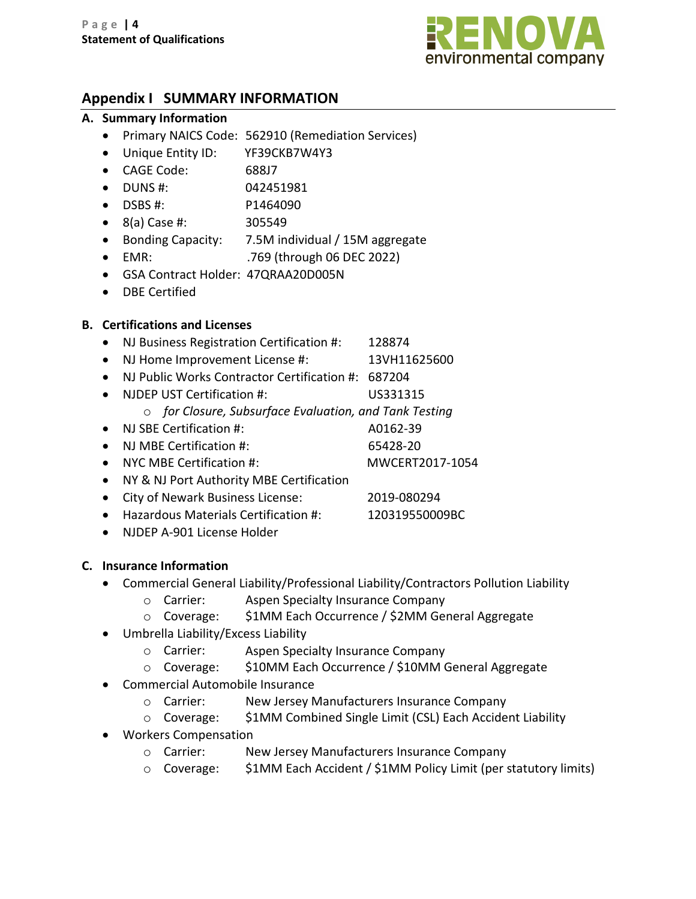

# <span id="page-5-0"></span>**Appendix I SUMMARY INFORMATION**

#### **A. Summary Information**

- Primary NAICS Code: 562910 (Remediation Services)
- Unique Entity ID: YF39CKB7W4Y3
- CAGE Code: 688J7
- DUNS #: 042451981
- DSBS #: P1464090
- 8(a) Case #: 305549
- Bonding Capacity: 7.5M individual / 15M aggregate
- EMR: .769 (through 06 DEC 2022)
- GSA Contract Holder: 47QRAA20D005N
- DBE Certified

## **B. Certifications and Licenses**

- NJ Business Registration Certification #: 128874
- NJ Home Improvement License #: 13VH11625600
- NJ Public Works Contractor Certification #: 687204
- NJDEP UST Certification #: US331315
	- o *for Closure, Subsurface Evaluation, and Tank Testing*
- NJ SBE Certification #: A0162-39
- NJ MBE Certification #: 65428-20
- NYC MBE Certification #: MWCERT2017-1054
- NY & NJ Port Authority MBE Certification
- City of Newark Business License: 2019-080294
- Hazardous Materials Certification #: 120319550009BC
- NJDEP A-901 License Holder

## **C. Insurance Information**

- Commercial General Liability/Professional Liability/Contractors Pollution Liability
	- o Carrier: Aspen Specialty Insurance Company
	- o Coverage: \$1MM Each Occurrence / \$2MM General Aggregate
- Umbrella Liability/Excess Liability
	- o Carrier: Aspen Specialty Insurance Company
	- o Coverage: \$10MM Each Occurrence / \$10MM General Aggregate
- Commercial Automobile Insurance
	- o Carrier: New Jersey Manufacturers Insurance Company
	- o Coverage: \$1MM Combined Single Limit (CSL) Each Accident Liability
- Workers Compensation
	- o Carrier: New Jersey Manufacturers Insurance Company
	- o Coverage: \$1MM Each Accident / \$1MM Policy Limit (per statutory limits)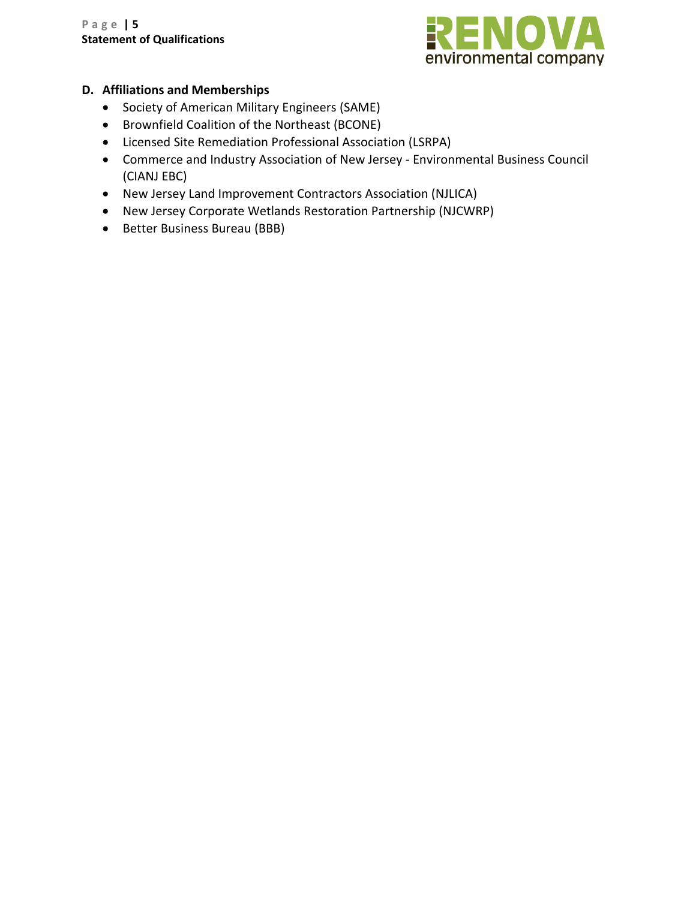

## **D. Affiliations and Memberships**

- Society of American Military Engineers (SAME)
- Brownfield Coalition of the Northeast (BCONE)
- Licensed Site Remediation Professional Association (LSRPA)
- Commerce and Industry Association of New Jersey Environmental Business Council (CIANJ EBC)
- New Jersey Land Improvement Contractors Association (NJLICA)
- New Jersey Corporate Wetlands Restoration Partnership (NJCWRP)
- <span id="page-6-0"></span>• Better Business Bureau (BBB)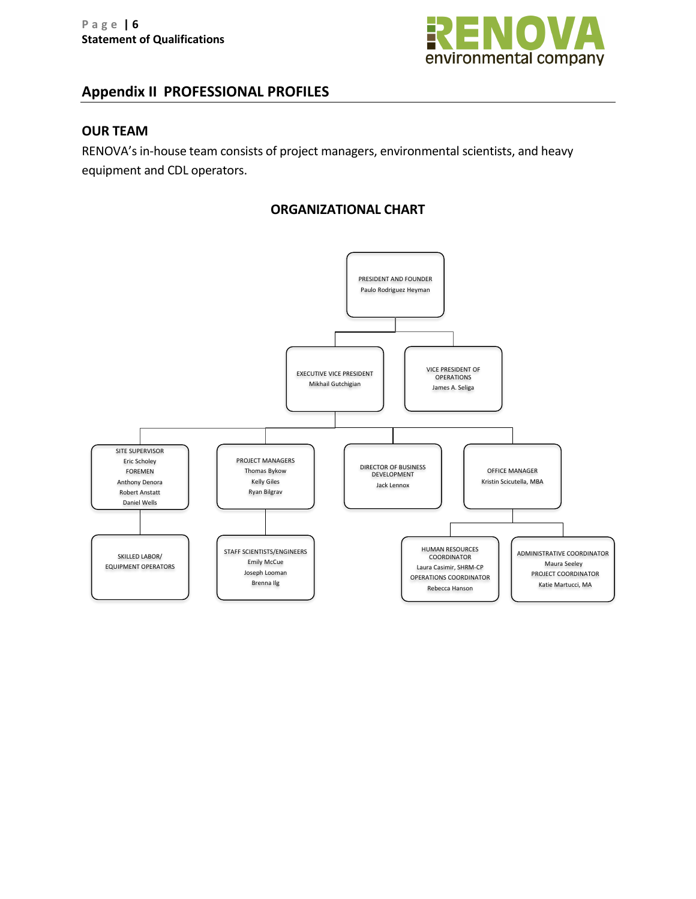

# **Appendix II PROFESSIONAL PROFILES**

#### **OUR TEAM**

RENOVA's in-house team consists of project managers, environmental scientists, and heavy equipment and CDL operators.

## **ORGANIZATIONAL CHART**